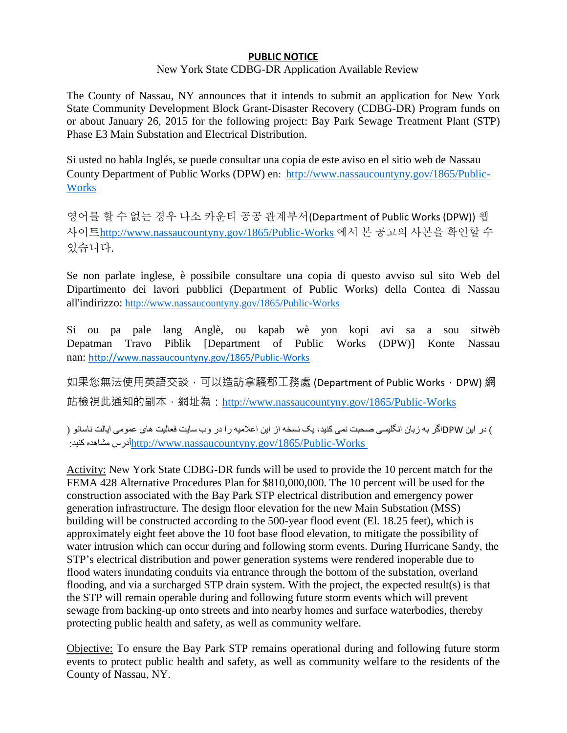## **PUBLIC NOTICE**

## New York State CDBG-DR Application Available Review

The County of Nassau, NY announces that it intends to submit an application for New York State Community Development Block Grant-Disaster Recovery (CDBG-DR) Program funds on or about January 26, 2015 for the following project: Bay Park Sewage Treatment Plant (STP) Phase E3 Main Substation and Electrical Distribution.

Si usted no habla Inglés, se puede consultar una copia de este aviso en el sitio web de Nassau County Department of Public Works (DPW) en: [http://www.nassaucountyny.gov/1865/Public-](http://www.nassaucountyny.gov/1865/Public-Works)**[Works](http://www.nassaucountyny.gov/1865/Public-Works)** 

영어를 할 수 없는 경우 나소 카운티 공공 관계부서(Department of Public Works (DPW)) 웹 사이트<http://www.nassaucountyny.gov/1865/Public-Works> 에서 본 공고의 사본을 확인할 수 있습니다.

Se non parlate inglese, è possibile consultare una copia di questo avviso sul sito Web del Dipartimento dei lavori pubblici (Department of Public Works) della Contea di Nassau all'indirizzo: <http://www.nassaucountyny.gov/1865/Public-Works>

Si ou pa pale lang Anglè, ou kapab wè yon kopi avi sa a sou sitwèb Depatman Travo Piblik [Department of Public Works (DPW)] Konte Nassau nan: <http://www.nassaucountyny.gov/1865/Public-Works>

如果您無法使用英語交談,可以造訪拿騷郡工務處 (Department of Public Works, DPW) 網 站檢視此通知的副本,網址為:<http://www.nassaucountyny.gov/1865/Public-Works>

( در این DPWاگر به زبان انگلیسی صحبت نمی کنید، یک نسخه از این اعالمیه را در وب سایت فعالیت های عمومی ایالت ناسائو ) :کنید مشاهده آدرس<http://www.nassaucountyny.gov/1865/Public-Works>

Activity: New York State CDBG-DR funds will be used to provide the 10 percent match for the FEMA 428 Alternative Procedures Plan for \$810,000,000. The 10 percent will be used for the construction associated with the Bay Park STP electrical distribution and emergency power generation infrastructure. The design floor elevation for the new Main Substation (MSS) building will be constructed according to the 500-year flood event (El. 18.25 feet), which is approximately eight feet above the 10 foot base flood elevation, to mitigate the possibility of water intrusion which can occur during and following storm events. During Hurricane Sandy, the STP's electrical distribution and power generation systems were rendered inoperable due to flood waters inundating conduits via entrance through the bottom of the substation, overland flooding, and via a surcharged STP drain system. With the project, the expected result(s) is that the STP will remain operable during and following future storm events which will prevent sewage from backing-up onto streets and into nearby homes and surface waterbodies, thereby protecting public health and safety, as well as community welfare.

Objective: To ensure the Bay Park STP remains operational during and following future storm events to protect public health and safety, as well as community welfare to the residents of the County of Nassau, NY.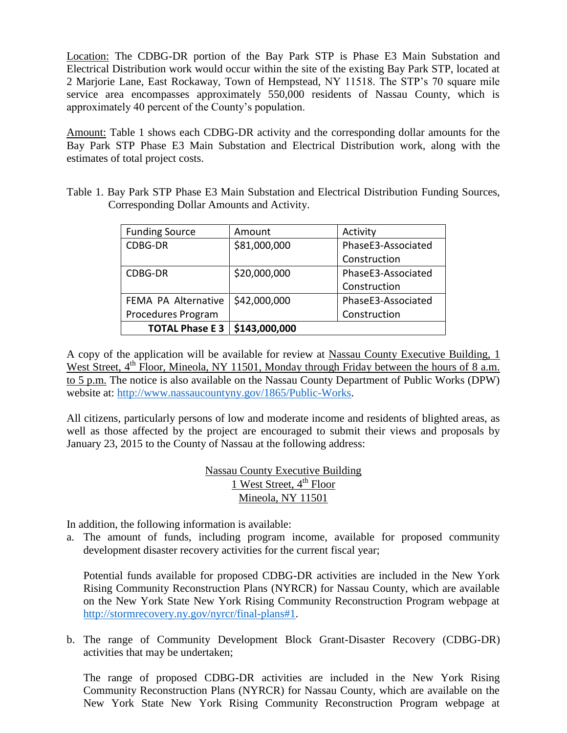Location: The CDBG-DR portion of the Bay Park STP is Phase E3 Main Substation and Electrical Distribution work would occur within the site of the existing Bay Park STP, located at 2 Marjorie Lane, East Rockaway, Town of Hempstead, NY 11518. The STP's 70 square mile service area encompasses approximately 550,000 residents of Nassau County, which is approximately 40 percent of the County's population.

Amount: Table 1 shows each CDBG-DR activity and the corresponding dollar amounts for the Bay Park STP Phase E3 Main Substation and Electrical Distribution work, along with the estimates of total project costs.

| Table 1. Bay Park STP Phase E3 Main Substation and Electrical Distribution Funding Sources, |  |  |  |  |
|---------------------------------------------------------------------------------------------|--|--|--|--|
| Corresponding Dollar Amounts and Activity.                                                  |  |  |  |  |

| <b>Funding Source</b> | Amount        | Activity           |  |  |
|-----------------------|---------------|--------------------|--|--|
| CDBG-DR               | \$81,000,000  | PhaseE3-Associated |  |  |
|                       |               | Construction       |  |  |
| CDBG-DR               | \$20,000,000  | PhaseE3-Associated |  |  |
|                       |               | Construction       |  |  |
| FEMA PA Alternative   | \$42,000,000  | PhaseE3-Associated |  |  |
| Procedures Program    |               | Construction       |  |  |
| <b>TOTAL Phase E3</b> | \$143,000,000 |                    |  |  |

A copy of the application will be available for review at Nassau County Executive Building, 1 West Street, 4<sup>th</sup> Floor, Mineola, NY 11501, Monday through Friday between the hours of 8 a.m. to 5 p.m. The notice is also available on the Nassau County Department of Public Works (DPW) website at: [http://www.nassaucountyny.gov/1865/Public-Works.](http://www.nassaucountyny.gov/1865/Public-Works)

All citizens, particularly persons of low and moderate income and residents of blighted areas, as well as those affected by the project are encouraged to submit their views and proposals by January 23, 2015 to the County of Nassau at the following address:

> Nassau County Executive Building 1 West Street,  $4^{\text{th}}$  Floor Mineola, NY 11501

In addition, the following information is available:

a. The amount of funds, including program income, available for proposed community development disaster recovery activities for the current fiscal year;

Potential funds available for proposed CDBG-DR activities are included in the New York Rising Community Reconstruction Plans (NYRCR) for Nassau County, which are available on the New York State New York Rising Community Reconstruction Program webpage at [http://stormrecovery.ny.gov/nyrcr/final-plans#1.](http://stormrecovery.ny.gov/nyrcr/final-plans#1)

b. The range of Community Development Block Grant-Disaster Recovery (CDBG-DR) activities that may be undertaken;

The range of proposed CDBG-DR activities are included in the New York Rising Community Reconstruction Plans (NYRCR) for Nassau County, which are available on the New York State New York Rising Community Reconstruction Program webpage at